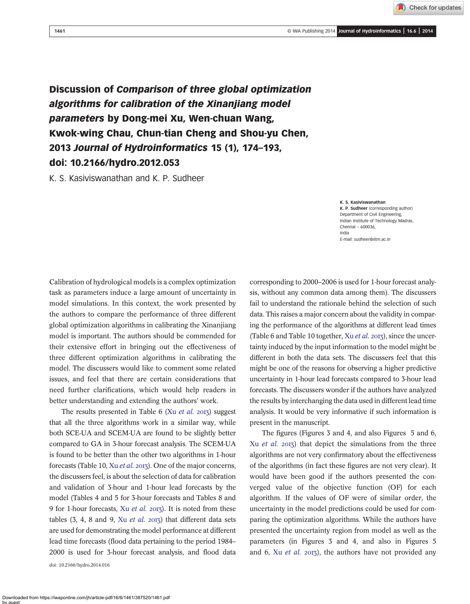<sup>1461</sup> © IWA Publishing 2014 Journal of Hydroinformatics | 16.6 | <sup>2014</sup>

Check for updates

Discussion of Comparison of three global optimization algorithms for calibration of the Xinanjiang model parameters by Dong-mei Xu, Wen-chuan Wang, Kwok-wing Chau, Chun-tian Cheng and Shou-yu Chen, 2013 Journal of Hydroinformatics 15 (1), 174–193, doi: 10.2166/hydro.2012.053

K. S. Kasiviswanathan and K. P. Sudheer

K. S. Kasiviswanathan K. P. Sudheer (corresponding author) Department of Civil Engineering, Indian Institute of Technology Madras, Chennai – 600036, India E-mail: [sudheer@iitm.ac.in](mailto:sudheer@iitm.ac.in)

Calibration of hydrological models is a complex optimization task as parameters induce a large amount of uncertainty in model simulations. In this context, the work presented by the authors to compare the performance of three different global optimization algorithms in calibrating the Xinanjiang model is important. The authors should be commended for their extensive effort in bringing out the effectiveness of three different optimization algorithms in calibrating the model. The discussers would like to comment some related issues, and feel that there are certain considerations that need further clarifications, which would help readers in better understanding and extending the authors' work.

The results presented in Table 6 (Xu *[et al.](#page-2-0)* 2013) suggest that all the three algorithms work in a similar way, while both SCE-UA and SCEM-UA are found to be slightly better compared to GA in 3-hour forecast analysis. The SCEM-UA is found to be better than the other two algorithms in 1-hour forecasts (Table 10, Xu [et al.](#page-2-0) 2013). One of the major concerns, the discussers feel, is about the selection of data for calibration and validation of 3-hour and 1-hour lead forecasts by the model (Tables 4 and 5 for 3-hour forecasts and Tables 8 and 9 for 1-hour forecasts, Xu *[et al.](#page-2-0)* 2013). It is noted from these tables  $(3, 4, 8 \text{ and } 9, \text{ Xu } et \text{ al. } 2013)$  that different data sets are used for demonstrating the model performance at different lead time forecasts (flood data pertaining to the period 1984– 2000 is used for 3-hour forecast analysis, and flood data doi: 10.2166/hydro.2014.016

corresponding to 2000–2006 is used for 1-hour forecast analysis, without any common data among them). The discussers fail to understand the rationale behind the selection of such data. This raises a major concern about the validity in comparing the performance of the algorithms at different lead times (Table 6 and Table 10 together,  $Xu \, et \, al.$  2013), since the uncertainty induced by the input information to the model might be different in both the data sets. The discussers feel that this might be one of the reasons for observing a higher predictive uncertainty in 1-hour lead forecasts compared to 3-hour lead forecasts. The discussers wonder if the authors have analyzed the results by interchanging the data used in different lead time analysis. It would be very informative if such information is present in the manuscript.

The figures (Figures 3 and 4, and also Figures 5 and 6, Xu [et al.](#page-2-0)  $2013$ ) that depict the simulations from the three algorithms are not very confirmatory about the effectiveness of the algorithms (in fact these figures are not very clear). It would have been good if the authors presented the converged value of the objective function (OF) for each algorithm. If the values of OF were of similar order, the uncertainty in the model predictions could be used for comparing the optimization algorithms. While the authors have presented the uncertainty region from model as well as the parameters (in Figures 3 and 4, and also in Figures 5 and 6, Xu [et al.](#page-2-0)  $2013$ ), the authors have not provided any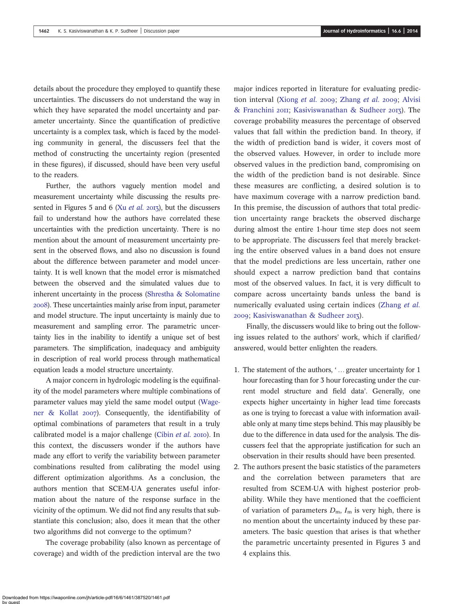details about the procedure they employed to quantify these uncertainties. The discussers do not understand the way in which they have separated the model uncertainty and parameter uncertainty. Since the quantification of predictive uncertainty is a complex task, which is faced by the modeling community in general, the discussers feel that the method of constructing the uncertainty region (presented in these figures), if discussed, should have been very useful to the readers.

Further, the authors vaguely mention model and measurement uncertainty while discussing the results presented in Figures 5 and 6 (Xu *[et al.](#page-2-0)* 2013), but the discussers fail to understand how the authors have correlated these uncertainties with the prediction uncertainty. There is no mention about the amount of measurement uncertainty present in the observed flows, and also no discussion is found about the difference between parameter and model uncertainty. It is well known that the model error is mismatched between the observed and the simulated values due to inherent uncertainty in the process [\(Shrestha & Solomatine](#page-2-0) ). These uncertainties mainly arise from input, parameter and model structure. The input uncertainty is mainly due to measurement and sampling error. The parametric uncertainty lies in the inability to identify a unique set of best parameters. The simplification, inadequacy and ambiguity in description of real world process through mathematical equation leads a model structure uncertainty.

A major concern in hydrologic modeling is the equifinality of the model parameters where multiple combinations of parameter values may yield the same model output [\(Wage](#page-2-0)[ner & Kollat](#page-2-0) 2007). Consequently, the identifiability of optimal combinations of parameters that result in a truly calibrated model is a major challenge [\(Cibin](#page-2-0) et al. 2010). In this context, the discussers wonder if the authors have made any effort to verify the variability between parameter combinations resulted from calibrating the model using different optimization algorithms. As a conclusion, the authors mention that SCEM-UA generates useful information about the nature of the response surface in the vicinity of the optimum. We did not find any results that substantiate this conclusion; also, does it mean that the other two algorithms did not converge to the optimum?

The coverage probability (also known as percentage of coverage) and width of the prediction interval are the two major indices reported in literature for evaluating predic-tion interval ([Xiong](#page-2-0) et al. 2009; [Zhang](#page-2-0) et al. 2009; [Alvisi](#page-2-0) [& Franchini](#page-2-0) 2011; [Kasiviswanathan & Sudheer](#page-2-0) 2013). The coverage probability measures the percentage of observed values that fall within the prediction band. In theory, if the width of prediction band is wider, it covers most of the observed values. However, in order to include more observed values in the prediction band, compromising on the width of the prediction band is not desirable. Since these measures are conflicting, a desired solution is to have maximum coverage with a narrow prediction band. In this premise, the discussion of authors that total prediction uncertainty range brackets the observed discharge during almost the entire 1-hour time step does not seem to be appropriate. The discussers feel that merely bracketing the entire observed values in a band does not ensure that the model predictions are less uncertain, rather one should expect a narrow prediction band that contains most of the observed values. In fact, it is very difficult to compare across uncertainty bands unless the band is numerically evaluated using certain indices ([Zhang](#page-2-0) et al. 2009; [Kasiviswanathan & Sudheer](#page-2-0) 2013).

Finally, the discussers would like to bring out the following issues related to the authors' work, which if clarified/ answered, would better enlighten the readers.

- 1. The statement of the authors, ' … greater uncertainty for 1 hour forecasting than for 3 hour forecasting under the current model structure and field data'. Generally, one expects higher uncertainty in higher lead time forecasts as one is trying to forecast a value with information available only at many time steps behind. This may plausibly be due to the difference in data used for the analysis. The discussers feel that the appropriate justification for such an observation in their results should have been presented.
- 2. The authors present the basic statistics of the parameters and the correlation between parameters that are resulted from SCEM-UA with highest posterior probability. While they have mentioned that the coefficient of variation of parameters  $D_m$ ,  $I_m$  is very high, there is no mention about the uncertainty induced by these parameters. The basic question that arises is that whether the parametric uncertainty presented in Figures 3 and 4 explains this.